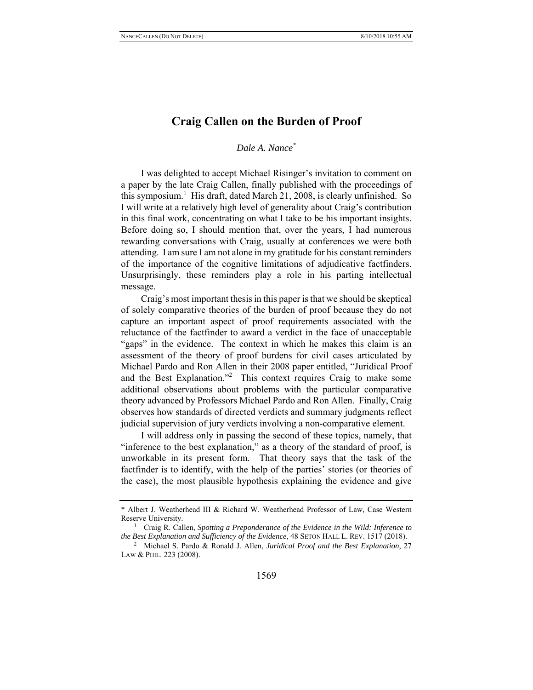# **Craig Callen on the Burden of Proof**

*Dale A. Nance\**

I was delighted to accept Michael Risinger's invitation to comment on a paper by the late Craig Callen, finally published with the proceedings of this symposium.<sup>1</sup> His draft, dated March 21, 2008, is clearly unfinished. So I will write at a relatively high level of generality about Craig's contribution in this final work, concentrating on what I take to be his important insights. Before doing so, I should mention that, over the years, I had numerous rewarding conversations with Craig, usually at conferences we were both attending. I am sure I am not alone in my gratitude for his constant reminders of the importance of the cognitive limitations of adjudicative factfinders. Unsurprisingly, these reminders play a role in his parting intellectual message.

Craig's most important thesis in this paper is that we should be skeptical of solely comparative theories of the burden of proof because they do not capture an important aspect of proof requirements associated with the reluctance of the factfinder to award a verdict in the face of unacceptable "gaps" in the evidence. The context in which he makes this claim is an assessment of the theory of proof burdens for civil cases articulated by Michael Pardo and Ron Allen in their 2008 paper entitled, "Juridical Proof and the Best Explanation."<sup>2</sup> This context requires Craig to make some additional observations about problems with the particular comparative theory advanced by Professors Michael Pardo and Ron Allen. Finally, Craig observes how standards of directed verdicts and summary judgments reflect judicial supervision of jury verdicts involving a non-comparative element.

I will address only in passing the second of these topics, namely, that "inference to the best explanation," as a theory of the standard of proof, is unworkable in its present form. That theory says that the task of the factfinder is to identify, with the help of the parties' stories (or theories of the case), the most plausible hypothesis explaining the evidence and give

<sup>\*</sup> Albert J. Weatherhead III & Richard W. Weatherhead Professor of Law, Case Western Reserve University.

Craig R. Callen, *Spotting a Preponderance of the Evidence in the Wild: Inference to the Best Explanation and Sufficiency of the Evidence*, 48 SETON HALL L. REV. 1517 (2018). 2

Michael S. Pardo & Ronald J. Allen, *Juridical Proof and the Best Explanation*, 27 LAW & PHIL. 223 (2008).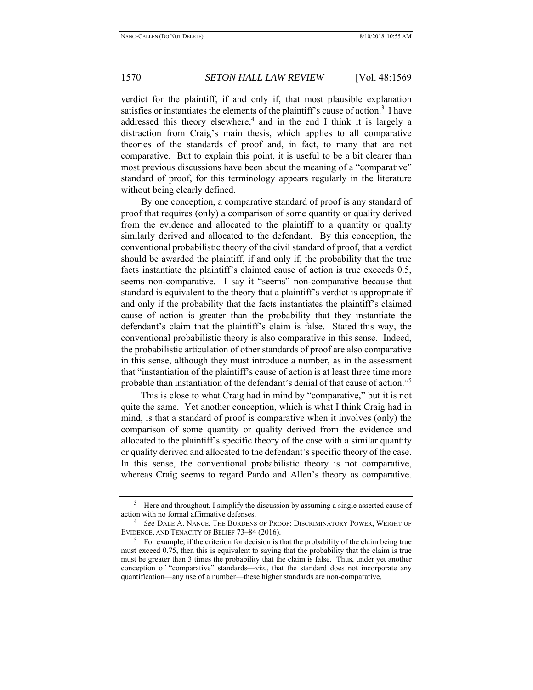verdict for the plaintiff, if and only if, that most plausible explanation satisfies or instantiates the elements of the plaintiff's cause of action.<sup>3</sup> I have addressed this theory elsewhere,<sup>4</sup> and in the end I think it is largely a distraction from Craig's main thesis, which applies to all comparative theories of the standards of proof and, in fact, to many that are not comparative. But to explain this point, it is useful to be a bit clearer than most previous discussions have been about the meaning of a "comparative" standard of proof, for this terminology appears regularly in the literature without being clearly defined.

By one conception, a comparative standard of proof is any standard of proof that requires (only) a comparison of some quantity or quality derived from the evidence and allocated to the plaintiff to a quantity or quality similarly derived and allocated to the defendant. By this conception, the conventional probabilistic theory of the civil standard of proof, that a verdict should be awarded the plaintiff, if and only if, the probability that the true facts instantiate the plaintiff's claimed cause of action is true exceeds 0.5, seems non-comparative. I say it "seems" non-comparative because that standard is equivalent to the theory that a plaintiff's verdict is appropriate if and only if the probability that the facts instantiates the plaintiff's claimed cause of action is greater than the probability that they instantiate the defendant's claim that the plaintiff's claim is false. Stated this way, the conventional probabilistic theory is also comparative in this sense. Indeed, the probabilistic articulation of other standards of proof are also comparative in this sense, although they must introduce a number, as in the assessment that "instantiation of the plaintiff's cause of action is at least three time more probable than instantiation of the defendant's denial of that cause of action."5

This is close to what Craig had in mind by "comparative," but it is not quite the same. Yet another conception, which is what I think Craig had in mind, is that a standard of proof is comparative when it involves (only) the comparison of some quantity or quality derived from the evidence and allocated to the plaintiff's specific theory of the case with a similar quantity or quality derived and allocated to the defendant's specific theory of the case. In this sense, the conventional probabilistic theory is not comparative, whereas Craig seems to regard Pardo and Allen's theory as comparative.

 $3$  Here and throughout, I simplify the discussion by assuming a single asserted cause of action with no formal affirmative defenses. 4

*See* DALE A. NANCE, THE BURDENS OF PROOF: DISCRIMINATORY POWER, WEIGHT OF EVIDENCE, AND TENACITY OF BELIEF 73-84 (2016).

 $5$  For example, if the criterion for decision is that the probability of the claim being true must exceed 0.75, then this is equivalent to saying that the probability that the claim is true must be greater than 3 times the probability that the claim is false. Thus, under yet another conception of "comparative" standards—viz., that the standard does not incorporate any quantification—any use of a number—these higher standards are non-comparative.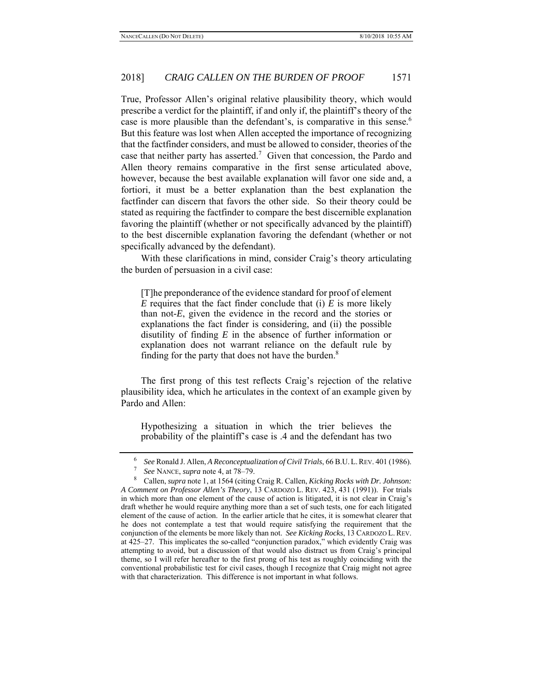True, Professor Allen's original relative plausibility theory, which would prescribe a verdict for the plaintiff, if and only if, the plaintiff's theory of the case is more plausible than the defendant's, is comparative in this sense.<sup>6</sup> But this feature was lost when Allen accepted the importance of recognizing that the factfinder considers, and must be allowed to consider, theories of the case that neither party has asserted.<sup>7</sup> Given that concession, the Pardo and Allen theory remains comparative in the first sense articulated above, however, because the best available explanation will favor one side and, a fortiori, it must be a better explanation than the best explanation the factfinder can discern that favors the other side. So their theory could be stated as requiring the factfinder to compare the best discernible explanation favoring the plaintiff (whether or not specifically advanced by the plaintiff) to the best discernible explanation favoring the defendant (whether or not specifically advanced by the defendant).

With these clarifications in mind, consider Craig's theory articulating the burden of persuasion in a civil case:

[T]he preponderance of the evidence standard for proof of element *E* requires that the fact finder conclude that (i) *E* is more likely than not-*E*, given the evidence in the record and the stories or explanations the fact finder is considering, and (ii) the possible disutility of finding *E* in the absence of further information or explanation does not warrant reliance on the default rule by finding for the party that does not have the burden.<sup>8</sup>

The first prong of this test reflects Craig's rejection of the relative plausibility idea, which he articulates in the context of an example given by Pardo and Allen:

Hypothesizing a situation in which the trier believes the probability of the plaintiff's case is .4 and the defendant has two

<sup>6</sup> *See* Ronald J. Allen, *A Reconceptualization of Civil Trials*, 66 B.U. L. REV. 401 (1986).

*See* NANCE, *supra* note 4, at 78–79.

<sup>8</sup> Callen, *supra* note 1, at 1564 (citing Craig R. Callen, *Kicking Rocks with Dr. Johnson: A Comment on Professor Allen's Theory*, 13 CARDOZO L. REV. 423, 431 (1991)). For trials in which more than one element of the cause of action is litigated, it is not clear in Craig's draft whether he would require anything more than a set of such tests, one for each litigated element of the cause of action. In the earlier article that he cites, it is somewhat clearer that he does not contemplate a test that would require satisfying the requirement that the conjunction of the elements be more likely than not. *See Kicking Rocks*, 13 CARDOZO L. REV. at 425–27. This implicates the so-called "conjunction paradox," which evidently Craig was attempting to avoid, but a discussion of that would also distract us from Craig's principal theme, so I will refer hereafter to the first prong of his test as roughly coinciding with the conventional probabilistic test for civil cases, though I recognize that Craig might not agree with that characterization. This difference is not important in what follows.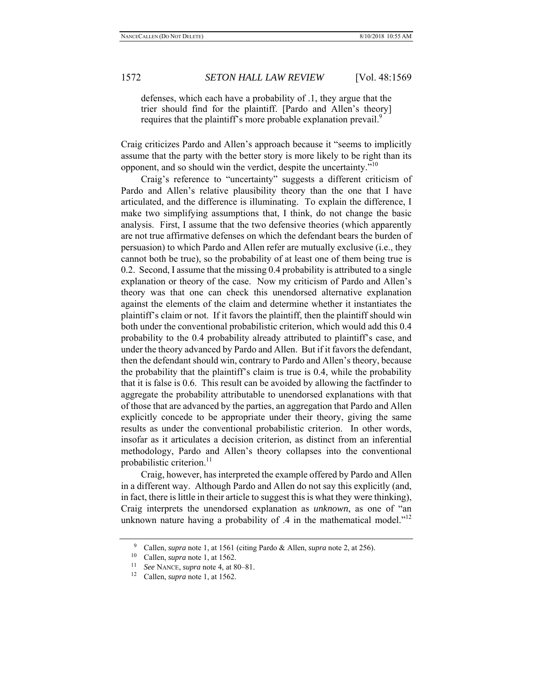defenses, which each have a probability of .1, they argue that the trier should find for the plaintiff. [Pardo and Allen's theory] requires that the plaintiff's more probable explanation prevail.<sup>9</sup>

Craig criticizes Pardo and Allen's approach because it "seems to implicitly assume that the party with the better story is more likely to be right than its opponent, and so should win the verdict, despite the uncertainty."<sup>10</sup>

Craig's reference to "uncertainty" suggests a different criticism of Pardo and Allen's relative plausibility theory than the one that I have articulated, and the difference is illuminating. To explain the difference, I make two simplifying assumptions that, I think, do not change the basic analysis. First, I assume that the two defensive theories (which apparently are not true affirmative defenses on which the defendant bears the burden of persuasion) to which Pardo and Allen refer are mutually exclusive (i.e., they cannot both be true), so the probability of at least one of them being true is 0.2. Second, I assume that the missing 0.4 probability is attributed to a single explanation or theory of the case. Now my criticism of Pardo and Allen's theory was that one can check this unendorsed alternative explanation against the elements of the claim and determine whether it instantiates the plaintiff's claim or not. If it favors the plaintiff, then the plaintiff should win both under the conventional probabilistic criterion, which would add this 0.4 probability to the 0.4 probability already attributed to plaintiff's case, and under the theory advanced by Pardo and Allen. But if it favors the defendant, then the defendant should win, contrary to Pardo and Allen's theory, because the probability that the plaintiff's claim is true is 0.4, while the probability that it is false is 0.6. This result can be avoided by allowing the factfinder to aggregate the probability attributable to unendorsed explanations with that of those that are advanced by the parties, an aggregation that Pardo and Allen explicitly concede to be appropriate under their theory, giving the same results as under the conventional probabilistic criterion. In other words, insofar as it articulates a decision criterion, as distinct from an inferential methodology, Pardo and Allen's theory collapses into the conventional probabilistic criterion.<sup>11</sup>

Craig, however, has interpreted the example offered by Pardo and Allen in a different way. Although Pardo and Allen do not say this explicitly (and, in fact, there is little in their article to suggest this is what they were thinking), Craig interprets the unendorsed explanation as *unknown*, as one of "an unknown nature having a probability of  $\dot{A}$  in the mathematical model."<sup>12</sup>

<sup>9</sup> Callen, *supra* note 1, at 1561 (citing Pardo & Allen, *supra* note 2, at 256).

<sup>10</sup> Callen, *supra* note 1, at 1562. 11 *See* NANCE, *supra* note 4, at 80–81. 12 Callen, *supra* note 1, at 1562.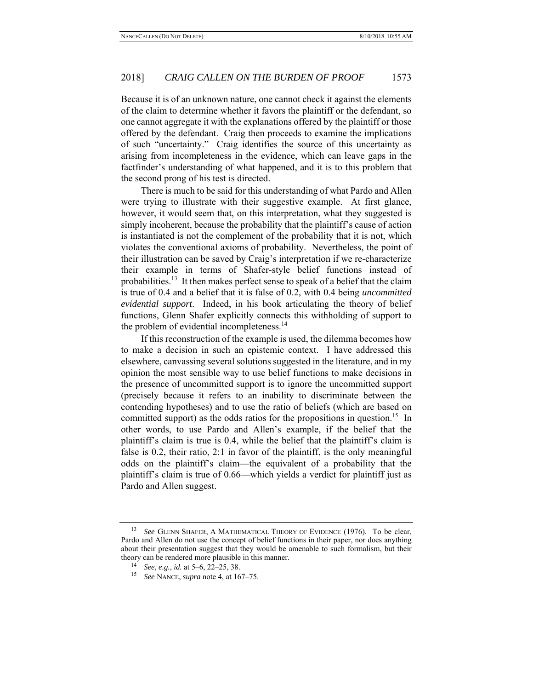Because it is of an unknown nature, one cannot check it against the elements of the claim to determine whether it favors the plaintiff or the defendant, so one cannot aggregate it with the explanations offered by the plaintiff or those offered by the defendant. Craig then proceeds to examine the implications of such "uncertainty." Craig identifies the source of this uncertainty as arising from incompleteness in the evidence, which can leave gaps in the factfinder's understanding of what happened, and it is to this problem that the second prong of his test is directed.

There is much to be said for this understanding of what Pardo and Allen were trying to illustrate with their suggestive example. At first glance, however, it would seem that, on this interpretation, what they suggested is simply incoherent, because the probability that the plaintiff's cause of action is instantiated is not the complement of the probability that it is not, which violates the conventional axioms of probability. Nevertheless, the point of their illustration can be saved by Craig's interpretation if we re-characterize their example in terms of Shafer-style belief functions instead of probabilities.<sup>13</sup> It then makes perfect sense to speak of a belief that the claim is true of 0.4 and a belief that it is false of 0.2, with 0.4 being *uncommitted evidential support*. Indeed, in his book articulating the theory of belief functions, Glenn Shafer explicitly connects this withholding of support to the problem of evidential incompleteness.<sup>14</sup>

If this reconstruction of the example is used, the dilemma becomes how to make a decision in such an epistemic context. I have addressed this elsewhere, canvassing several solutions suggested in the literature, and in my opinion the most sensible way to use belief functions to make decisions in the presence of uncommitted support is to ignore the uncommitted support (precisely because it refers to an inability to discriminate between the contending hypotheses) and to use the ratio of beliefs (which are based on committed support) as the odds ratios for the propositions in question.<sup>15</sup> In other words, to use Pardo and Allen's example, if the belief that the plaintiff's claim is true is 0.4, while the belief that the plaintiff's claim is false is 0.2, their ratio, 2:1 in favor of the plaintiff, is the only meaningful odds on the plaintiff's claim—the equivalent of a probability that the plaintiff's claim is true of 0.66—which yields a verdict for plaintiff just as Pardo and Allen suggest.

<sup>13</sup> *See* GLENN SHAFER, A MATHEMATICAL THEORY OF EVIDENCE (1976). To be clear, Pardo and Allen do not use the concept of belief functions in their paper, nor does anything about their presentation suggest that they would be amenable to such formalism, but their theory can be rendered more plausible in this manner. 14 *See, e.g.*, *id.* at 5–6, 22–25, 38.

<sup>15</sup> *See* NANCE, *supra* note 4, at 167–75.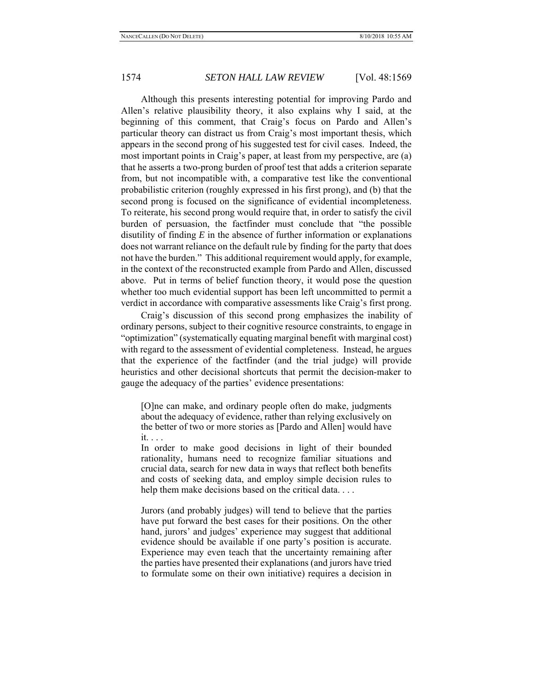Although this presents interesting potential for improving Pardo and Allen's relative plausibility theory, it also explains why I said, at the beginning of this comment, that Craig's focus on Pardo and Allen's particular theory can distract us from Craig's most important thesis, which appears in the second prong of his suggested test for civil cases. Indeed, the most important points in Craig's paper, at least from my perspective, are (a) that he asserts a two-prong burden of proof test that adds a criterion separate from, but not incompatible with, a comparative test like the conventional probabilistic criterion (roughly expressed in his first prong), and (b) that the second prong is focused on the significance of evidential incompleteness. To reiterate, his second prong would require that, in order to satisfy the civil burden of persuasion, the factfinder must conclude that "the possible disutility of finding *E* in the absence of further information or explanations does not warrant reliance on the default rule by finding for the party that does not have the burden." This additional requirement would apply, for example, in the context of the reconstructed example from Pardo and Allen, discussed above. Put in terms of belief function theory, it would pose the question whether too much evidential support has been left uncommitted to permit a verdict in accordance with comparative assessments like Craig's first prong.

Craig's discussion of this second prong emphasizes the inability of ordinary persons, subject to their cognitive resource constraints, to engage in "optimization" (systematically equating marginal benefit with marginal cost) with regard to the assessment of evidential completeness. Instead, he argues that the experience of the factfinder (and the trial judge) will provide heuristics and other decisional shortcuts that permit the decision-maker to gauge the adequacy of the parties' evidence presentations:

[O]ne can make, and ordinary people often do make, judgments about the adequacy of evidence, rather than relying exclusively on the better of two or more stories as [Pardo and Allen] would have it. . . .

In order to make good decisions in light of their bounded rationality, humans need to recognize familiar situations and crucial data, search for new data in ways that reflect both benefits and costs of seeking data, and employ simple decision rules to help them make decisions based on the critical data....

Jurors (and probably judges) will tend to believe that the parties have put forward the best cases for their positions. On the other hand, jurors' and judges' experience may suggest that additional evidence should be available if one party's position is accurate. Experience may even teach that the uncertainty remaining after the parties have presented their explanations (and jurors have tried to formulate some on their own initiative) requires a decision in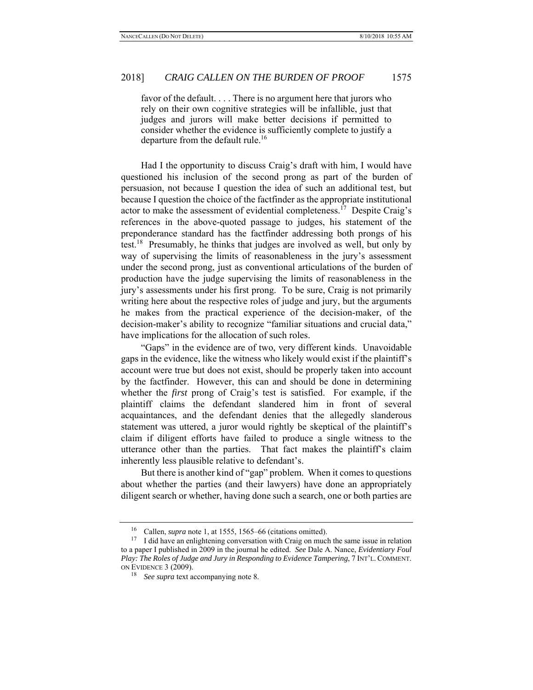favor of the default. . . . There is no argument here that jurors who rely on their own cognitive strategies will be infallible, just that judges and jurors will make better decisions if permitted to consider whether the evidence is sufficiently complete to justify a departure from the default rule.<sup>16</sup>

Had I the opportunity to discuss Craig's draft with him, I would have questioned his inclusion of the second prong as part of the burden of persuasion, not because I question the idea of such an additional test, but because I question the choice of the factfinder as the appropriate institutional actor to make the assessment of evidential completeness.<sup>17</sup> Despite Craig's references in the above-quoted passage to judges, his statement of the preponderance standard has the factfinder addressing both prongs of his test.<sup>18</sup> Presumably, he thinks that judges are involved as well, but only by way of supervising the limits of reasonableness in the jury's assessment under the second prong, just as conventional articulations of the burden of production have the judge supervising the limits of reasonableness in the jury's assessments under his first prong. To be sure, Craig is not primarily writing here about the respective roles of judge and jury, but the arguments he makes from the practical experience of the decision-maker, of the decision-maker's ability to recognize "familiar situations and crucial data," have implications for the allocation of such roles.

"Gaps" in the evidence are of two, very different kinds. Unavoidable gaps in the evidence, like the witness who likely would exist if the plaintiff's account were true but does not exist, should be properly taken into account by the factfinder. However, this can and should be done in determining whether the *first* prong of Craig's test is satisfied. For example, if the plaintiff claims the defendant slandered him in front of several acquaintances, and the defendant denies that the allegedly slanderous statement was uttered, a juror would rightly be skeptical of the plaintiff's claim if diligent efforts have failed to produce a single witness to the utterance other than the parties. That fact makes the plaintiff's claim inherently less plausible relative to defendant's.

But there is another kind of "gap" problem. When it comes to questions about whether the parties (and their lawyers) have done an appropriately diligent search or whether, having done such a search, one or both parties are

<sup>16</sup> Callen, *supra* note 1, at 1555, 1565–66 (citations omitted).

 $17$  I did have an enlightening conversation with Craig on much the same issue in relation to a paper I published in 2009 in the journal he edited. *See* Dale A. Nance, *Evidentiary Foul Play: The Roles of Judge and Jury in Responding to Evidence Tampering*, 7 INT'L. COMMENT. ON EVIDENCE 3 (2009).

<sup>18</sup> *See supra* text accompanying note 8.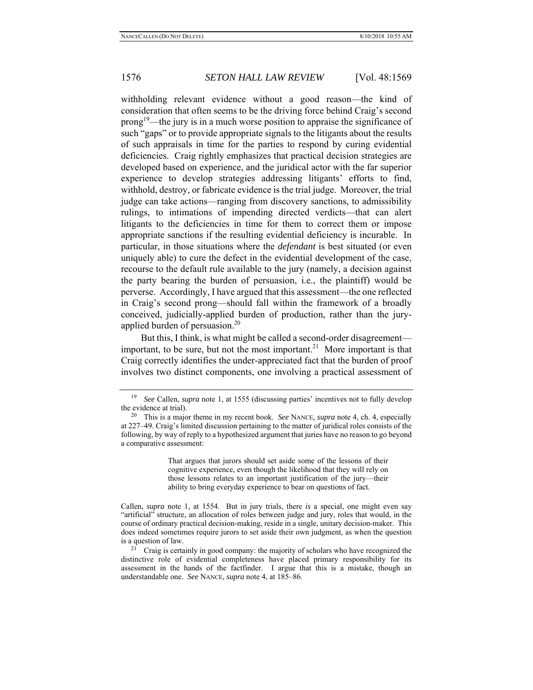withholding relevant evidence without a good reason—the kind of consideration that often seems to be the driving force behind Craig's second  $prong<sup>19</sup>$ —the jury is in a much worse position to appraise the significance of such "gaps" or to provide appropriate signals to the litigants about the results of such appraisals in time for the parties to respond by curing evidential deficiencies. Craig rightly emphasizes that practical decision strategies are developed based on experience, and the juridical actor with the far superior experience to develop strategies addressing litigants' efforts to find, withhold, destroy, or fabricate evidence is the trial judge. Moreover, the trial judge can take actions—ranging from discovery sanctions, to admissibility rulings, to intimations of impending directed verdicts—that can alert litigants to the deficiencies in time for them to correct them or impose appropriate sanctions if the resulting evidential deficiency is incurable. In particular, in those situations where the *defendant* is best situated (or even uniquely able) to cure the defect in the evidential development of the case, recourse to the default rule available to the jury (namely, a decision against the party bearing the burden of persuasion, i.e., the plaintiff) would be perverse. Accordingly, I have argued that this assessment—the one reflected in Craig's second prong—should fall within the framework of a broadly conceived, judicially-applied burden of production, rather than the juryapplied burden of persuasion.<sup>20</sup>

But this, I think, is what might be called a second-order disagreement important, to be sure, but not the most important.<sup>21</sup> More important is that Craig correctly identifies the under-appreciated fact that the burden of proof involves two distinct components, one involving a practical assessment of

That argues that jurors should set aside some of the lessons of their cognitive experience, even though the likelihood that they will rely on those lessons relates to an important justification of the jury—their ability to bring everyday experience to bear on questions of fact.

<sup>19</sup> *See* Callen, *supra* note 1, at 1555 (discussing parties' incentives not to fully develop the evidence at trial).

<sup>20</sup> This is a major theme in my recent book. *See* NANCE, *supra* note 4, ch. 4, especially at 227–49. Craig's limited discussion pertaining to the matter of juridical roles consists of the following, by way of reply to a hypothesized argument that juries have no reason to go beyond a comparative assessment:

Callen, *supra* note 1, at 1554. But in jury trials, there *is* a special, one might even say "artificial" structure, an allocation of roles between judge and jury, roles that would, in the course of ordinary practical decision-making, reside in a single, unitary decision-maker. This does indeed sometimes require jurors to set aside their own judgment, as when the question is a question of law.

 $21$  Craig is certainly in good company: the majority of scholars who have recognized the distinctive role of evidential completeness have placed primary responsibility for its assessment in the hands of the factfinder. I argue that this is a mistake, though an understandable one. *See* NANCE, *supra* note 4, at 185–86.